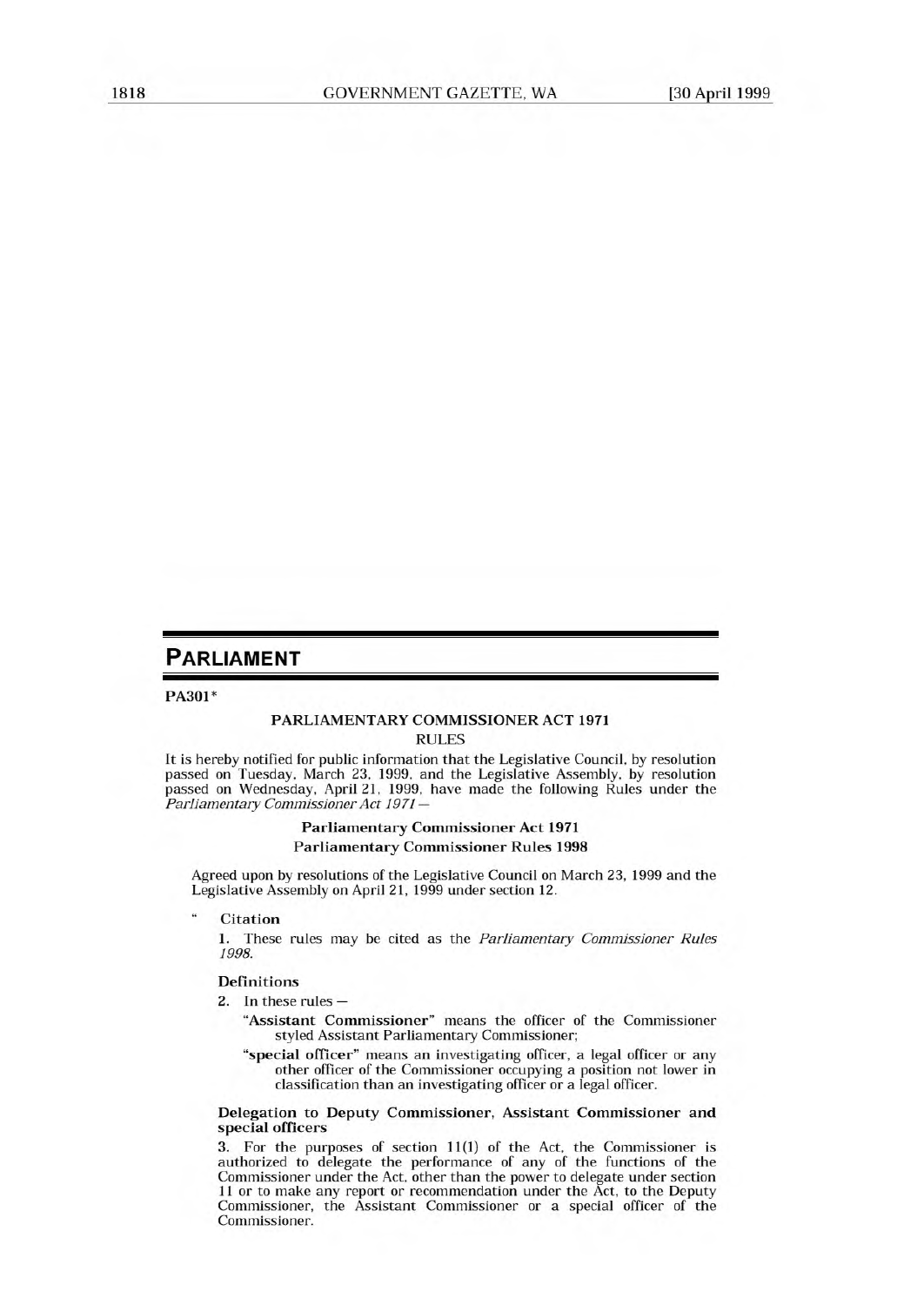# **PARLIAMENT**

#### **PA301\***

#### **PARLIAMENTARY COMMISSIONER ACT 1971**  RULES

It is hereby notified for public information that the Legislative Council, by resolution passed on Tuesday. March 23, 1999, and the Legislative Assembly, by resolution passed on Wednesday, April 21, 1999, have made the following Rules under the *Parliamentary Commissioner Act 1971 —* 

# **Parliamentary Commissioner Act 1971 Parliamentary Commissioner Rules 1998**

Agreed upon by resolutions of the Legislative Council on March 23, 1999 and the Legislative Assembly on April 21, 1999 under section 12.

**" Citation** 

1. These rules may be cited as the *Parliamentary Commissioner Rules 1998.* 

### **Definitions**

2. In these rules —

- **"Assistant Commissioner" means** the officer of the Commissioner styled Assistant Parliamentary Commissioner;
- **"special officer" means an investigating officer, a legal officer or any other officer of the Commissioner occupying a position not lower in classification than an investigating officer or a legal officer.**

#### **Delegation to Deputy Commissioner, Assistant Commissioner and special officers**

3. For the purposes of section 11(1) of the Act, the Commissioner is authorized to delegate the performance of any of the functions of the Commissioner under the Act, other than the power to delegate under section 11 or to make any report or recommendation under the Act, to the Deputy Commissioner, the Assistant Commissioner or a special officer of the Commissioner.